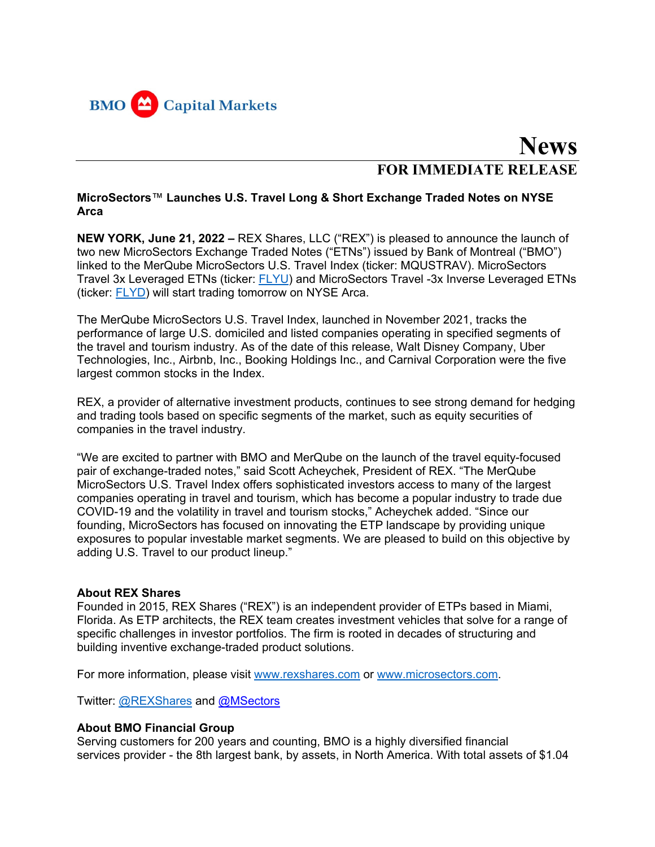

## **News FOR IMMEDIATE RELEASE**

## **MicroSectors**™ **Launches U.S. Travel Long & Short Exchange Traded Notes on NYSE Arca**

**NEW YORK, June 21, 2022 –** REX Shares, LLC ("REX") is pleased to announce the launch of two new MicroSectors Exchange Traded Notes ("ETNs") issued by Bank of Montreal ("BMO") linked to the MerQube MicroSectors U.S. Travel Index (ticker: MQUSTRAV). MicroSectors Travel 3x Leveraged ETNs (ticker: FLYU) and MicroSectors Travel -3x Inverse Leveraged ETNs (ticker: FLYD) will start trading tomorrow on NYSE Arca.

The MerQube MicroSectors U.S. Travel Index, launched in November 2021, tracks the performance of large U.S. domiciled and listed companies operating in specified segments of the travel and tourism industry. As of the date of this release, Walt Disney Company, Uber Technologies, Inc., Airbnb, Inc., Booking Holdings Inc., and Carnival Corporation were the five largest common stocks in the Index.

REX, a provider of alternative investment products, continues to see strong demand for hedging and trading tools based on specific segments of the market, such as equity securities of companies in the travel industry.

"We are excited to partner with BMO and MerQube on the launch of the travel equity-focused pair of exchange-traded notes," said Scott Acheychek, President of REX. "The MerQube MicroSectors U.S. Travel Index offers sophisticated investors access to many of the largest companies operating in travel and tourism, which has become a popular industry to trade due COVID-19 and the volatility in travel and tourism stocks," Acheychek added. "Since our founding, MicroSectors has focused on innovating the ETP landscape by providing unique exposures to popular investable market segments. We are pleased to build on this objective by adding U.S. Travel to our product lineup."

## **About REX Shares**

Founded in 2015, REX Shares ("REX") is an independent provider of ETPs based in Miami, Florida. As ETP architects, the REX team creates investment vehicles that solve for a range of specific challenges in investor portfolios. The firm is rooted in decades of structuring and building inventive exchange-traded product solutions.

For more information, please visit www.rexshares.com or www.microsectors.com.

Twitter: @REXShares and @MSectors

## **About BMO Financial Group**

Serving customers for 200 years and counting, BMO is a highly diversified financial services provider - the 8th largest bank, by assets, in North America. With total assets of \$1.04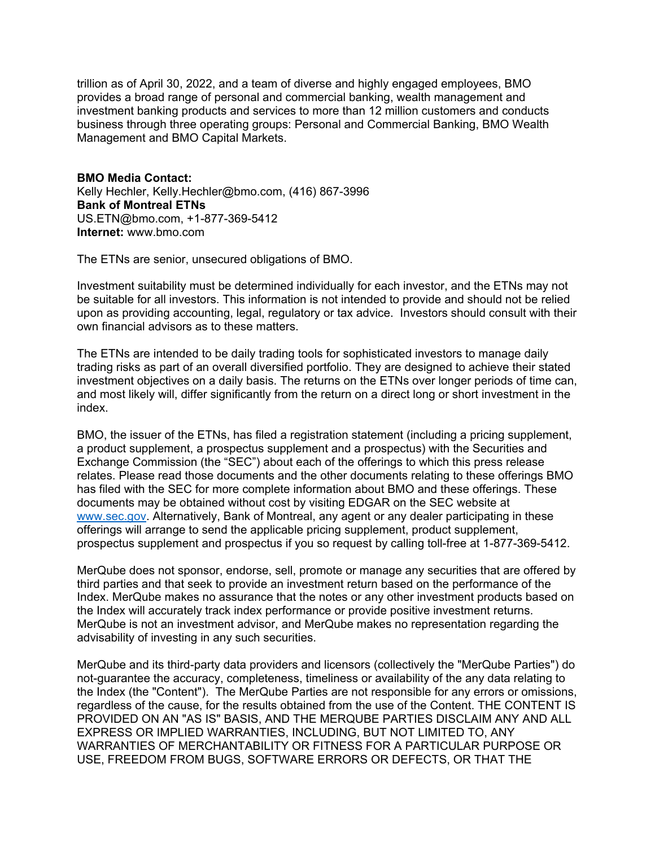trillion as of April 30, 2022, and a team of diverse and highly engaged employees, BMO provides a broad range of personal and commercial banking, wealth management and investment banking products and services to more than 12 million customers and conducts business through three operating groups: Personal and Commercial Banking, BMO Wealth Management and BMO Capital Markets.

**BMO Media Contact:** Kelly Hechler, Kelly.Hechler@bmo.com, (416) 867-3996 **Bank of Montreal ETNs** US.ETN@bmo.com, +1-877-369-5412 **Internet:** www.bmo.com

The ETNs are senior, unsecured obligations of BMO.

Investment suitability must be determined individually for each investor, and the ETNs may not be suitable for all investors. This information is not intended to provide and should not be relied upon as providing accounting, legal, regulatory or tax advice. Investors should consult with their own financial advisors as to these matters.

The ETNs are intended to be daily trading tools for sophisticated investors to manage daily trading risks as part of an overall diversified portfolio. They are designed to achieve their stated investment objectives on a daily basis. The returns on the ETNs over longer periods of time can, and most likely will, differ significantly from the return on a direct long or short investment in the index.

BMO, the issuer of the ETNs, has filed a registration statement (including a pricing supplement, a product supplement, a prospectus supplement and a prospectus) with the Securities and Exchange Commission (the "SEC") about each of the offerings to which this press release relates. Please read those documents and the other documents relating to these offerings BMO has filed with the SEC for more complete information about BMO and these offerings. These documents may be obtained without cost by visiting EDGAR on the SEC website at www.sec.gov. Alternatively, Bank of Montreal, any agent or any dealer participating in these offerings will arrange to send the applicable pricing supplement, product supplement, prospectus supplement and prospectus if you so request by calling toll-free at 1-877-369-5412.

MerQube does not sponsor, endorse, sell, promote or manage any securities that are offered by third parties and that seek to provide an investment return based on the performance of the Index. MerQube makes no assurance that the notes or any other investment products based on the Index will accurately track index performance or provide positive investment returns. MerQube is not an investment advisor, and MerQube makes no representation regarding the advisability of investing in any such securities.

MerQube and its third-party data providers and licensors (collectively the "MerQube Parties") do not-guarantee the accuracy, completeness, timeliness or availability of the any data relating to the Index (the "Content"). The MerQube Parties are not responsible for any errors or omissions, regardless of the cause, for the results obtained from the use of the Content. THE CONTENT IS PROVIDED ON AN "AS IS" BASIS, AND THE MERQUBE PARTIES DISCLAIM ANY AND ALL EXPRESS OR IMPLIED WARRANTIES, INCLUDING, BUT NOT LIMITED TO, ANY WARRANTIES OF MERCHANTABILITY OR FITNESS FOR A PARTICULAR PURPOSE OR USE, FREEDOM FROM BUGS, SOFTWARE ERRORS OR DEFECTS, OR THAT THE